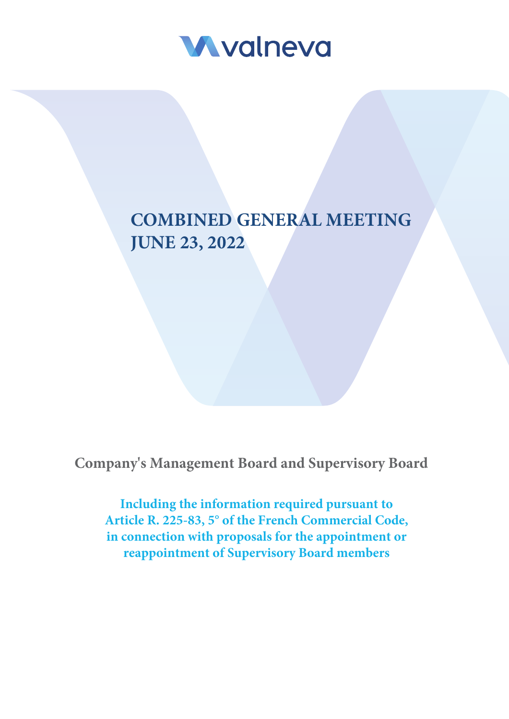

# **COMBINED GENERAL MEETING JUNE 23, 2022**

**Company's Management Board and Supervisory Board**

**Including the information required pursuant to Article R. 225-83, 5° of the French Commercial Code, in connection with proposals for the appointment or reappointment of Supervisory Board members**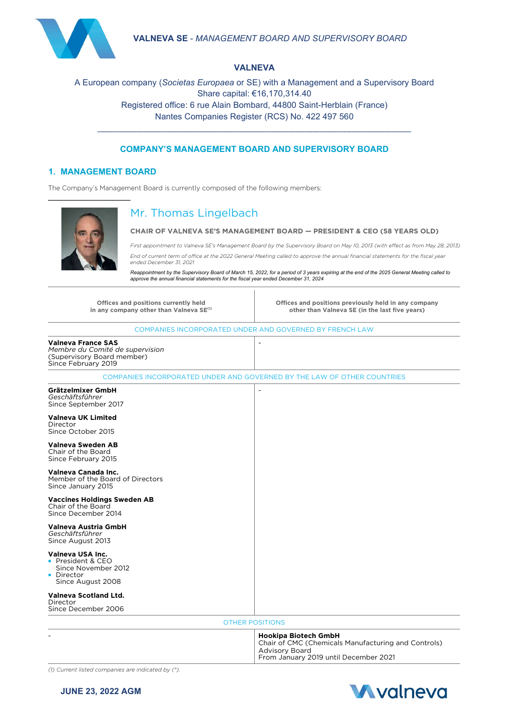

#### **VALNEVA**

## A European company (*Societas Europaea* or SE) with a Management and a Supervisory Board Share capital: €16,170,314.40 Registered office: 6 rue Alain Bombard, 44800 Saint-Herblain (France) Nantes Companies Register (RCS) No. 422 497 560

#### **COMPANY'S MANAGEMENT BOARD AND SUPERVISORY BOARD**

\_\_\_\_\_\_\_\_\_\_\_\_\_\_\_\_\_\_\_\_\_\_\_\_\_\_\_\_\_\_\_\_\_\_\_\_\_\_\_\_\_\_\_\_\_\_\_\_\_\_\_\_\_\_\_\_\_\_\_\_\_\_\_\_\_\_

#### **1. MANAGEMENT BOARD**

The Company's Management Board is currently composed of the following members:



# Mr. Thomas Lingelbach

#### **CHAIR OF VALNEVA SE'S MANAGEMENT BOARD — PRESIDENT & CEO (58 YEARS OLD)**

*First appointment to Valneva SE's Management Board by the Supervisory Board on May 10, 2013 (with effect as from May 28, 2013) End of current term of office at the 2022 General Meeting called to approve the annual financial statements for the fiscal year ended December 31, 2021*

*Reappointment by the Supervisory Board of March 15, 2022, for a period of 3 years expiring at the end of the 2025 General Meeting called to approve the annual financial statements for the fiscal year ended December 31, 2024*

| Offices and positions currently held<br>in any company other than Valneva SE <sup>(1)</sup>                       | Offices and positions previously held in any company<br>other than Valneva SE (in the last five years)                                               |  |  |
|-------------------------------------------------------------------------------------------------------------------|------------------------------------------------------------------------------------------------------------------------------------------------------|--|--|
|                                                                                                                   | COMPANIES INCORPORATED UNDER AND GOVERNED BY FRENCH LAW                                                                                              |  |  |
| <b>Valneva France SAS</b><br>Membre du Comité de supervision<br>(Supervisory Board member)<br>Since February 2019 | $\overline{a}$                                                                                                                                       |  |  |
|                                                                                                                   | COMPANIES INCORPORATED UNDER AND GOVERNED BY THE LAW OF OTHER COUNTRIES                                                                              |  |  |
| Grätzelmixer GmbH<br>Geschäftsführer<br>Since September 2017<br><b>Valneva UK Limited</b>                         |                                                                                                                                                      |  |  |
| Director<br>Since October 2015                                                                                    |                                                                                                                                                      |  |  |
| Valneva Sweden AB<br>Chair of the Board<br>Since February 2015                                                    |                                                                                                                                                      |  |  |
| Valneva Canada Inc.<br>Member of the Board of Directors<br>Since January 2015                                     |                                                                                                                                                      |  |  |
| <b>Vaccines Holdings Sweden AB</b><br>Chair of the Board<br>Since December 2014                                   |                                                                                                                                                      |  |  |
| Valneva Austria GmbH<br>Geschäftsführer<br>Since August 2013                                                      |                                                                                                                                                      |  |  |
| Valneva USA Inc.<br>• President & CEO<br>Since November 2012<br>• Director<br>Since August 2008                   |                                                                                                                                                      |  |  |
| <b>Valneva Scotland Ltd.</b><br>Director<br>Since December 2006                                                   |                                                                                                                                                      |  |  |
|                                                                                                                   | <b>OTHER POSITIONS</b>                                                                                                                               |  |  |
|                                                                                                                   | <b>Hookipa Biotech GmbH</b><br>Chair of CMC (Chemicals Manufacturing and Controls)<br><b>Advisory Board</b><br>From January 2019 until December 2021 |  |  |

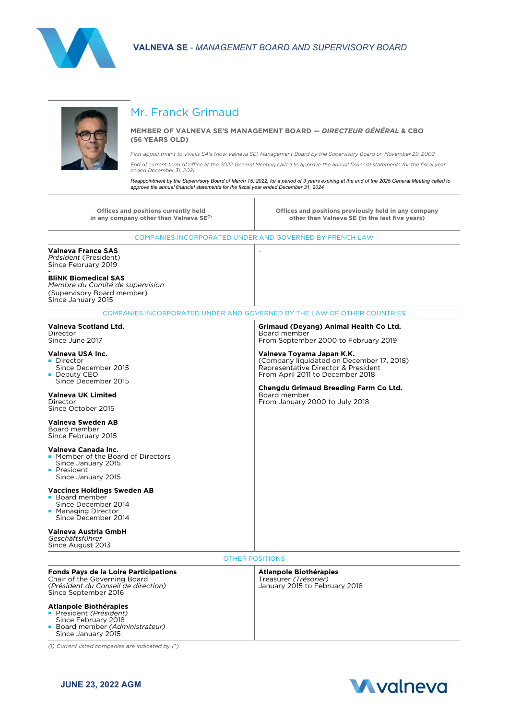



# Mr. Franck Grimaud

#### **MEMBER OF VALNEVA SE'S MANAGEMENT BOARD —** *DIRECTEUR GÉNÉRAL* **& CBO (56 YEARS OLD)**

*First appointment to Vivalis SA's (now Valneva SE) Management Board by the Supervisory Board on November 29, 2002*

*End of current term of office at the 2022 General Meeting called to approve the annual financial statements for the fiscal year ended December 31, 2021*

Reappointment by the Supervisory Board of March 15, 2022, for a period of 3 years expiring at the end of the 2025 General Meeting called to<br>approve the annual financial statements for the fiscal year ended December 31, 202

**Offices and positions currently held** in any company other than Valneva SE<sup>(1)</sup> **Offices and positions previously held in any company other than Valneva SE (in the last five years)** COMPANIES INCORPORATED UNDER AND GOVERNED BY FRENCH LAW **Valneva France SAS** *Président* (President) Since February 2019 - **BliNK Biomedical SAS** *Membre du Comité de supervision* (Supervisory Board member) Since January 2015 - COMPANIES INCORPORATED UNDER AND GOVERNED BY THE LAW OF OTHER COUNTRIES **Valneva Scotland Ltd.** Director Since June 2017 **Valneva USA Inc. Director** Since December 2015 ■ Deputy CEO ■ Since December 2015 **Valneva UK Limited** Director Since October 2015 **Valneva Sweden AB** Board member Since February 2015 **Valneva Canada Inc.** ■ Member of the Board of Directors ■ Since January 2015 **President** Since January 2015 **Vaccines Holdings Sweden AB** ■ Board member Since December 2014 Managing Director Since December 2014 **Valneva Austria GmbH** *Geschäftsführer* Since August 2013 **Grimaud (Deyang) Animal Health Co Ltd.** Board member From September 2000 to February 2019 **Valneva Toyama Japan K.K.** (Company liquidated on December 17, 2018) Representative Director & President From April 2011 to December 2018 **Chengdu Grimaud Breeding Farm Co Ltd.** Board member From January 2000 to July 2018 OTHER POSITIONS **Fonds Pays de la Loire Participations** Chair of the Governing Board (*Président du Conseil de direction)* Since September 2016 **Atlanpole Biothérapies** ■ President *(Président)* Since February 2018 ■ Board member *(Administrateur)* Since January 2015 **Atlanpole Biothérapies** Treasurer *(Trésorier)* January 2015 to February 2018

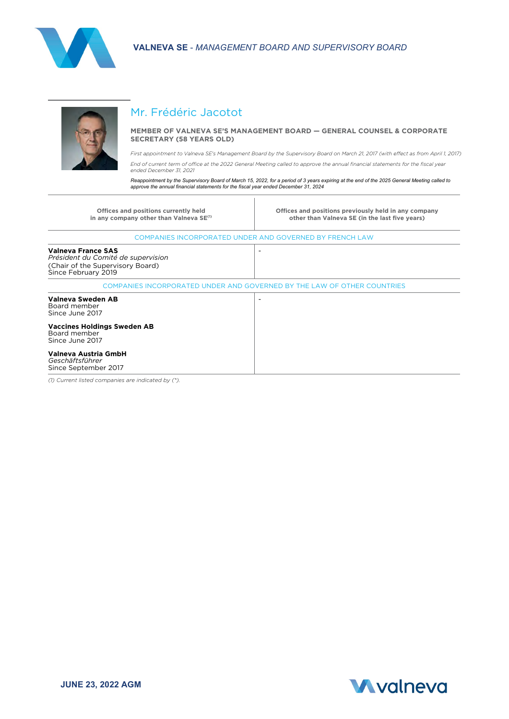



# Mr. Frédéric Jacotot

#### **MEMBER OF VALNEVA SE'S MANAGEMENT BOARD — GENERAL COUNSEL & CORPORATE SECRETARY (58 YEARS OLD)**

*First appointment to Valneva SE's Management Board by the Supervisory Board on March 21, 2017 (with effect as from April 1, 2017) End of current term of office at the 2022 General Meeting called to approve the annual financial statements for the fiscal year* 

*ended December 31, 2021* Reappointment by the Supervisory Board of March 15, 2022, for a period of 3 years expiring at the end of the 2025 General Meeting called to<br>approve the annual financial statements for the fiscal year ended December 31, 202

| Offices and positions currently held<br>in any company other than Valneva SE <sup>(1)</sup>                                | Offices and positions previously held in any company<br>other than Valneva SE (in the last five years) |
|----------------------------------------------------------------------------------------------------------------------------|--------------------------------------------------------------------------------------------------------|
|                                                                                                                            | COMPANIES INCORPORATED UNDER AND GOVERNED BY FRENCH LAW                                                |
| <b>Valneva France SAS</b><br>Président du Comité de supervision<br>(Chair of the Supervisory Board)<br>Since February 2019 | $\overline{\phantom{a}}$                                                                               |
|                                                                                                                            | COMPANIES INCORPORATED UNDER AND GOVERNED BY THE LAW OF OTHER COUNTRIES                                |
| Valneva Sweden AB<br>Board member<br>Since June 2017                                                                       | $\overline{\phantom{a}}$                                                                               |
| <b>Vaccines Holdings Sweden AB</b><br>Board member<br>Since June 2017                                                      |                                                                                                        |
| Valneva Austria GmbH<br>Geschäftsführer<br>Since September 2017                                                            |                                                                                                        |

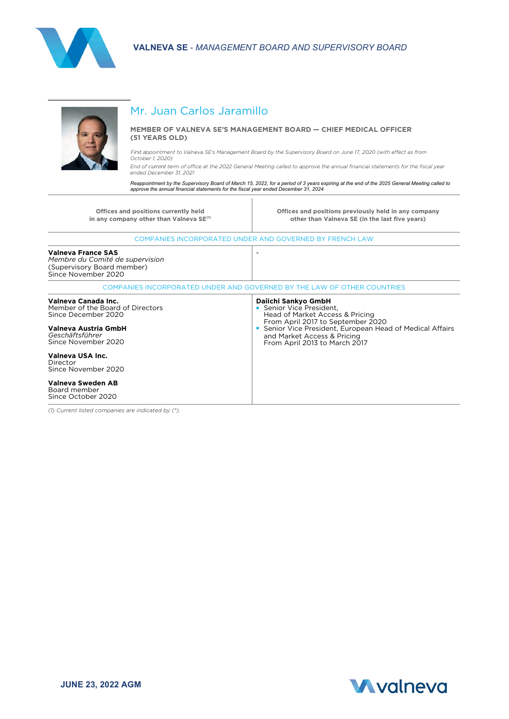



# Mr. Juan Carlos Jaramillo

#### **MEMBER OF VALNEVA SE'S MANAGEMENT BOARD — CHIEF MEDICAL OFFICER (51 YEARS OLD)**

First a*ppointment to Valneva SE's Management Board by the Supervisory Board on June 17, 2020 (with effect as from October 1, 2020)*

*End of* current *term of office at the 2022 General Meeting called to approve the annual financial statements for the fiscal year ended December 31, 2021*

Reappointment by the Supervisory Board of March 15, 2022, for a period of 3 years expiring at the end of the 2025 General Meeting called to<br>approve the annual financial statements for the fiscal year ended December 31, 202

| Offices and positions currently held<br>in any company other than Valneva SE <sup>(1)</sup>                                                      | Offices and positions previously held in any company<br>other than Valneva SE (in the last five years)                                                                                                                                           |
|--------------------------------------------------------------------------------------------------------------------------------------------------|--------------------------------------------------------------------------------------------------------------------------------------------------------------------------------------------------------------------------------------------------|
|                                                                                                                                                  | COMPANIES INCORPORATED UNDER AND GOVERNED BY FRENCH LAW                                                                                                                                                                                          |
| Valneva France SAS<br>Membre du Comité de supervision<br>(Supervisory Board member)<br>Since November 2020                                       |                                                                                                                                                                                                                                                  |
|                                                                                                                                                  | COMPANIES INCORPORATED UNDER AND GOVERNED BY THE LAW OF OTHER COUNTRIES                                                                                                                                                                          |
| Valneva Canada Inc.<br>Member of the Board of Directors<br>Since December 2020<br>Valneva Austria GmbH<br>Geschäftsführer<br>Since November 2020 | Daiichi Sankyo GmbH<br>Senior Vice President,<br>Head of Market Access & Pricing<br>From April 2017 to September 2020<br>Senior Vice President, European Head of Medical Affairs<br>and Market Access & Pricing<br>From April 2013 to March 2017 |
| Valneva USA Inc.<br>Director<br>Since November 2020                                                                                              |                                                                                                                                                                                                                                                  |
| Valneva Sweden AB<br>Board member<br>Since October 2020                                                                                          |                                                                                                                                                                                                                                                  |

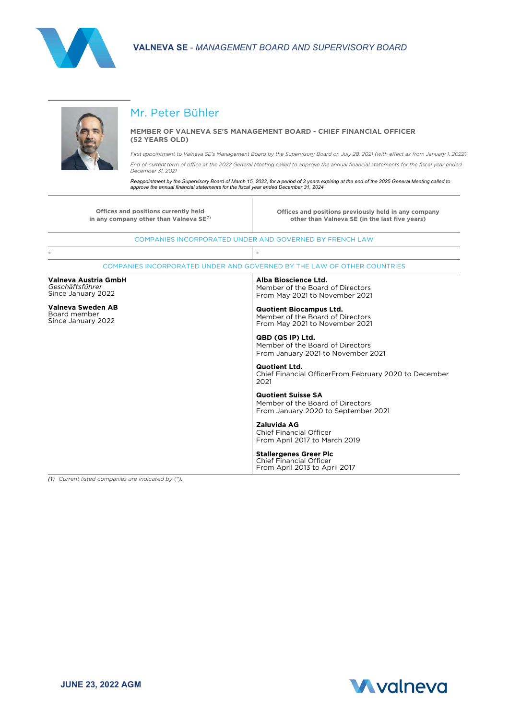



# Mr. Peter Bühler

#### **MEMBER OF VALNEVA SE'S MANAGEMENT BOARD - CHIEF FINANCIAL OFFICER (52 YEARS OLD)**

First a*ppointment to Valneva SE's Management Board by the Supervisory Board on July 28, 2021 (with effect as from January 1, 2022) End of* current *term of office at the 2022 General Meeting called to approve the annual financial statements for the fiscal year ended* 

*December 31, 2021* 

Reappointment by the Supervisory Board of March 15, 2022, for a period of 3 years expiring at the end of the 2025 General Meeting called to<br>approve the annual financial statements for the fiscal year ended December 31, 202

| Offices and positions currently held<br>in any company other than Valneva SE <sup>(1)</sup> | Offices and positions previously held in any company<br>other than Valneva SE (in the last five vears) |
|---------------------------------------------------------------------------------------------|--------------------------------------------------------------------------------------------------------|
|                                                                                             | COMPANIES INCORPORATED UNDER AND GOVERNED BY FRENCH LAW                                                |
|                                                                                             |                                                                                                        |
|                                                                                             | COMPANIES INCORPORATED UNDER AND GOVERNED BY THE LAW OF OTHER COUNTRIES                                |
| Valneva Austria GmbH<br>Geschäftsführer<br>Since January 2022                               | Alba Bioscience Ltd.<br>Member of the Board of Directors<br>From May 2021 to November 2021             |
| Valneva Sweden AB<br>Board member<br>Since January 2022                                     | <b>Quotient Biocampus Ltd.</b><br>Member of the Board of Directors<br>From May 2021 to November 2021   |
|                                                                                             | QBD (QS IP) Ltd.<br>Member of the Board of Directors<br>From January 2021 to November 2021             |
|                                                                                             | <b>Quotient Ltd.</b><br>Chief Financial OfficerFrom February 2020 to December<br>2021                  |
|                                                                                             | <b>Quotient Suisse SA</b><br>Member of the Board of Directors<br>From January 2020 to September 2021   |
|                                                                                             | Zaluvida AG<br><b>Chief Financial Officer</b><br>From April 2017 to March 2019                         |
|                                                                                             | <b>Stallergenes Greer Plc</b><br><b>Chief Financial Officer</b><br>From April 2013 to April 2017       |

 $\overline{1}$ 

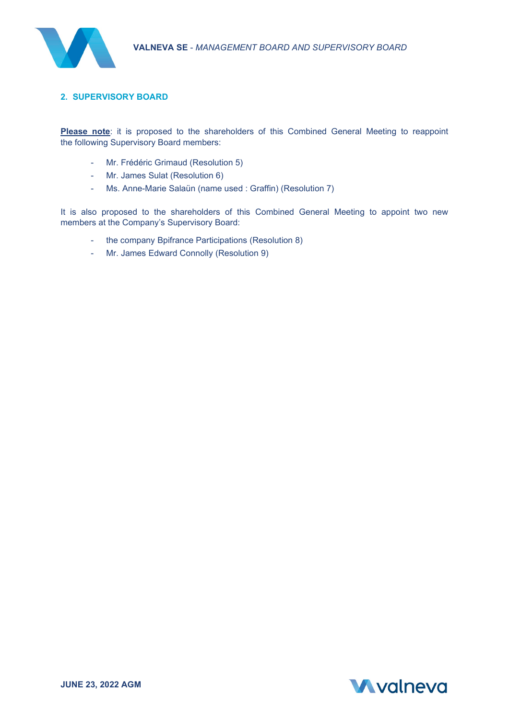

## **2. SUPERVISORY BOARD**

**Please note**: it is proposed to the shareholders of this Combined General Meeting to reappoint the following Supervisory Board members:

- Mr. Frédéric Grimaud (Resolution 5)
- Mr. James Sulat (Resolution 6)
- Ms. Anne-Marie Salaün (name used : Graffin) (Resolution 7)

It is also proposed to the shareholders of this Combined General Meeting to appoint two new members at the Company's Supervisory Board:

- the company Bpifrance Participations (Resolution 8)
- Mr. James Edward Connolly (Resolution 9)

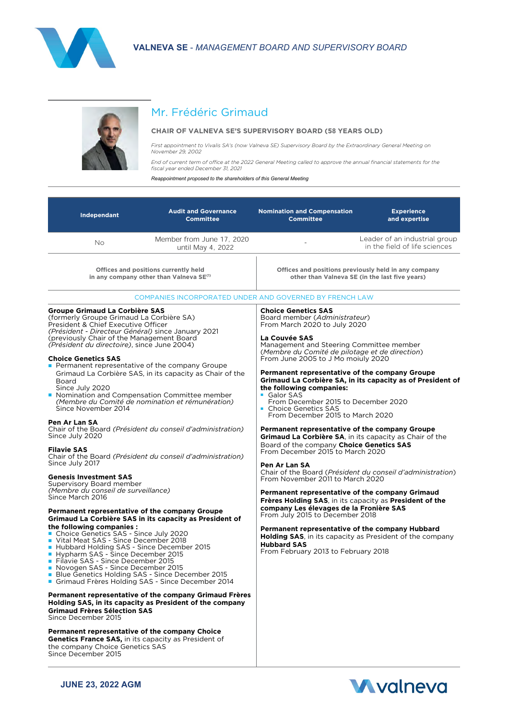



# Mr. Frédéric Grimaud

#### **CHAIR OF VALNEVA SE'S SUPERVISORY BOARD (58 YEARS OLD)**

*First appointment to Vivalis SA's (now Valneva SE) Supervisory Board by the Extraordinary General Meeting on November 29, 2002*

*End of current term of office at the 2022 General Meeting called to approve the annual financial statements for the fiscal year ended December 31, 2021*

*Reappointment proposed to the shareholders of this General Meeting*

| Independant                                                                                                                                                                                                                                                                                                                                                                                                                                                                                                                                                                                                                                                                                                                                                                                                                                                                                                                                                                                                                                                                                             | <b>Audit and Governance</b><br><b>Committee</b>                                                                                                                                                                                                                                                                                                                                                                           | <b>Nomination and Compensation</b><br><b>Committee</b>                                                                                                                                                                                                                                                                                                                                                                                                                                                                                                                                                                                                                                                                                                                                                                                                                                                                                                                                                                                                                           | <b>Experience</b><br>and expertise                                                                                       |
|---------------------------------------------------------------------------------------------------------------------------------------------------------------------------------------------------------------------------------------------------------------------------------------------------------------------------------------------------------------------------------------------------------------------------------------------------------------------------------------------------------------------------------------------------------------------------------------------------------------------------------------------------------------------------------------------------------------------------------------------------------------------------------------------------------------------------------------------------------------------------------------------------------------------------------------------------------------------------------------------------------------------------------------------------------------------------------------------------------|---------------------------------------------------------------------------------------------------------------------------------------------------------------------------------------------------------------------------------------------------------------------------------------------------------------------------------------------------------------------------------------------------------------------------|----------------------------------------------------------------------------------------------------------------------------------------------------------------------------------------------------------------------------------------------------------------------------------------------------------------------------------------------------------------------------------------------------------------------------------------------------------------------------------------------------------------------------------------------------------------------------------------------------------------------------------------------------------------------------------------------------------------------------------------------------------------------------------------------------------------------------------------------------------------------------------------------------------------------------------------------------------------------------------------------------------------------------------------------------------------------------------|--------------------------------------------------------------------------------------------------------------------------|
| No.                                                                                                                                                                                                                                                                                                                                                                                                                                                                                                                                                                                                                                                                                                                                                                                                                                                                                                                                                                                                                                                                                                     | Member from June 17, 2020<br>until May 4, 2022                                                                                                                                                                                                                                                                                                                                                                            |                                                                                                                                                                                                                                                                                                                                                                                                                                                                                                                                                                                                                                                                                                                                                                                                                                                                                                                                                                                                                                                                                  | Leader of an industrial group<br>in the field of life sciences                                                           |
|                                                                                                                                                                                                                                                                                                                                                                                                                                                                                                                                                                                                                                                                                                                                                                                                                                                                                                                                                                                                                                                                                                         | Offices and positions currently held<br>in any company other than Valneva SE <sup>(1)</sup>                                                                                                                                                                                                                                                                                                                               |                                                                                                                                                                                                                                                                                                                                                                                                                                                                                                                                                                                                                                                                                                                                                                                                                                                                                                                                                                                                                                                                                  | Offices and positions previously held in any company<br>other than Valneva SE (in the last five years)                   |
|                                                                                                                                                                                                                                                                                                                                                                                                                                                                                                                                                                                                                                                                                                                                                                                                                                                                                                                                                                                                                                                                                                         | COMPANIES INCORPORATED UNDER AND GOVERNED BY FRENCH LAW                                                                                                                                                                                                                                                                                                                                                                   |                                                                                                                                                                                                                                                                                                                                                                                                                                                                                                                                                                                                                                                                                                                                                                                                                                                                                                                                                                                                                                                                                  |                                                                                                                          |
| Groupe Grimaud La Corbière SAS<br>(formerly Groupe Grimaud La Corbière SA)<br>President & Chief Executive Officer<br>(Président - Directeur Général) since January 2021<br>(previously Chair of the Management Board)<br>(Président du directoire), since June 2004)<br><b>Choice Genetics SAS</b><br><b>Permanent representative of the company Groupe</b><br>Board<br>Since July 2020<br>• Nomination and Compensation Committee member<br>Since November 2014<br>Pen Ar Lan SA<br>Since July 2020<br><b>Filavie SAS</b><br>Since July 2017<br><b>Genesis Investment SAS</b><br>Supervisory Board member<br>(Membre du conseil de surveillance)<br>Since March 2016<br>Permanent representative of the company Groupe<br>the following companies:<br>Choice Genetics SAS - Since July 2020<br>Vital Meat SAS - Since December 2018<br>Hubbard Holding SAS - Since December 2015<br>Hypharm SAS - Since December 2015<br>Filavie SAS - Since December 2015<br>Novogen SAS - Since December 2015<br>Blue Genetics Holding SAS - Since December 2015<br>Grimaud Frères Holding SAS - Since December 2014 | Grimaud La Corbière SAS, in its capacity as Chair of the<br>(Membre du Comité de nomination et rémunération)<br>Chair of the Board (Président du conseil d'administration)<br>Chair of the Board (Président du conseil d'administration)<br>Grimaud La Corbière SAS in its capacity as President of<br>Permanent representative of the company Grimaud Frères<br>Holding SAS, in its capacity as President of the company | <b>Choice Genetics SAS</b><br>Board member (Administrateur)<br>From March 2020 to July 2020<br>La Couvée SAS<br>Management and Steering Committee member<br>(Membre du Comité de pilotage et de direction)<br>From June 2005 to J Mo moiuly 2020<br>Permanent representative of the company Groupe<br>the following companies:<br>Galor SAS<br>From December 2015 to December 2020<br>• Choice Genetics SAS<br>From December 2015 to March 2020<br>Permanent representative of the company Groupe<br>Grimaud La Corbière SA, in its capacity as Chair of the<br>Board of the company Choice Genetics SAS<br>From December 2015 to March 2020<br>Pen Ar Lan SA<br>From November 2011 to March 2020<br>Permanent representative of the company Grimaud<br>Frères Holding SAS, in its capacity as President of the<br>company Les élevages de la Fronière SAS<br>From July 2015 to December 2018<br>Permanent representative of the company Hubbard<br><b>Holding SAS.</b> in its capacity as President of the company<br><b>Hubbard SAS</b><br>From February 2013 to February 2018 | Grimaud La Corbière SA, in its capacity as of President of<br>Chair of the Board (Président du conseil d'administration) |
| <b>Grimaud Frères Sélection SAS</b><br>Since December 2015<br>Permanent representative of the company Choice                                                                                                                                                                                                                                                                                                                                                                                                                                                                                                                                                                                                                                                                                                                                                                                                                                                                                                                                                                                            |                                                                                                                                                                                                                                                                                                                                                                                                                           |                                                                                                                                                                                                                                                                                                                                                                                                                                                                                                                                                                                                                                                                                                                                                                                                                                                                                                                                                                                                                                                                                  |                                                                                                                          |
| <b>Genetics France SAS, in its capacity as President of</b><br>the company Choice Genetics SAS<br>Since December 2015                                                                                                                                                                                                                                                                                                                                                                                                                                                                                                                                                                                                                                                                                                                                                                                                                                                                                                                                                                                   |                                                                                                                                                                                                                                                                                                                                                                                                                           |                                                                                                                                                                                                                                                                                                                                                                                                                                                                                                                                                                                                                                                                                                                                                                                                                                                                                                                                                                                                                                                                                  |                                                                                                                          |

**JUNE 23, 2022 AGM**

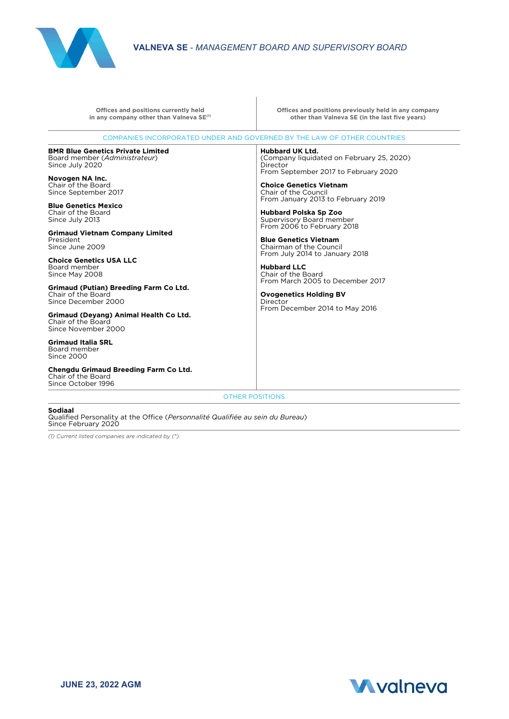

| COMPANIES INCORPORATED UNDER AND GOVERNED BY THE LAW OF OTHER COUNTRIES<br><b>BMR Blue Genetics Private Limited</b><br>Hubbard UK Ltd.<br>Board member (Administrateur)<br>Since July 2020<br>Director<br>Novogen NA Inc.<br>Chair of the Board<br>Since September 2017<br><b>Blue Genetics Mexico</b><br>Chair of the Board<br>Since July 2013<br><b>Grimaud Vietnam Company Limited</b><br>President<br>Since June 2009<br><b>Choice Genetics USA LLC</b><br>Board member<br><b>Hubbard LLC</b><br>Chair of the Board<br>Since May 2008<br>Grimaud (Putian) Breeding Farm Co Ltd.<br>Chair of the Board<br>Since December 2000<br>Director<br>Grimaud (Devang) Animal Health Co Ltd.<br>Chair of the Board<br>Since November 2000<br><b>Grimaud Italia SRL</b><br>Board member<br>Since 2000<br>Chengdu Grimaud Breeding Farm Co Ltd.<br>Chair of the Board<br>Since October 1996 | Offices and positions previously held in any company<br>other than Valneva SE (in the last five years)                                                                                                                                                                                                                                                                                                                                                                          |
|-------------------------------------------------------------------------------------------------------------------------------------------------------------------------------------------------------------------------------------------------------------------------------------------------------------------------------------------------------------------------------------------------------------------------------------------------------------------------------------------------------------------------------------------------------------------------------------------------------------------------------------------------------------------------------------------------------------------------------------------------------------------------------------------------------------------------------------------------------------------------------------|---------------------------------------------------------------------------------------------------------------------------------------------------------------------------------------------------------------------------------------------------------------------------------------------------------------------------------------------------------------------------------------------------------------------------------------------------------------------------------|
|                                                                                                                                                                                                                                                                                                                                                                                                                                                                                                                                                                                                                                                                                                                                                                                                                                                                                     |                                                                                                                                                                                                                                                                                                                                                                                                                                                                                 |
|                                                                                                                                                                                                                                                                                                                                                                                                                                                                                                                                                                                                                                                                                                                                                                                                                                                                                     | (Company liquidated on February 25, 2020)<br>From September 2017 to February 2020<br><b>Choice Genetics Vietnam</b><br>Chair of the Council<br>From January 2013 to February 2019<br><b>Hubbard Polska Sp Zoo</b><br>Supervisory Board member<br>From 2006 to February 2018<br><b>Blue Genetics Vietnam</b><br>Chairman of the Council<br>From July 2014 to January 2018<br>From March 2005 to December 2017<br><b>Ovogenetics Holding BV</b><br>From December 2014 to May 2016 |
| <b>OTHER POSITIONS</b>                                                                                                                                                                                                                                                                                                                                                                                                                                                                                                                                                                                                                                                                                                                                                                                                                                                              |                                                                                                                                                                                                                                                                                                                                                                                                                                                                                 |

**Sodiaal** Qualified Personality at the Office (*Personnalité Qualifiée au sein du Bureau*) Since February 2020

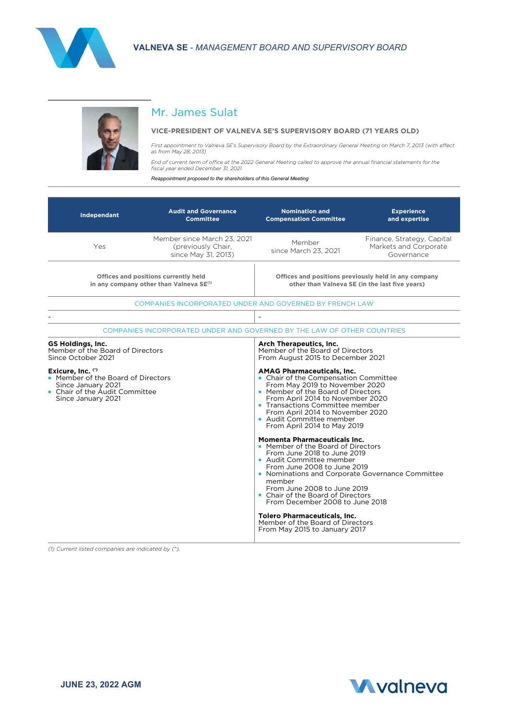



## Mr. James Sulat

#### **VICE-PRESIDENT OF VALNEVA SE'S SUPERVISORY BOARD (71 YEARS OLD)**

*First appointment to Valneva SE's Supervisory Board by the Extraordinary General Meeting on March 7, 2013 (with effect as from May 28, 2013)*

*End of current term of office at the 2022 General Meeting called to approve the annual financial statements for the fiscal year ended December 31, 2021*

*Reappointment proposed to the shareholders of this General Meeting*

| Independant                                                                                                                                                                                                                 | <b>Audit and Governance</b><br><b>Committee</b>                          | <b>Nomination and</b><br><b>Compensation Committee</b>                                                                                                                                                                                                                                                                                                                                                                                                                                                                                 | <b>Experience</b><br>and expertise                                |
|-----------------------------------------------------------------------------------------------------------------------------------------------------------------------------------------------------------------------------|--------------------------------------------------------------------------|----------------------------------------------------------------------------------------------------------------------------------------------------------------------------------------------------------------------------------------------------------------------------------------------------------------------------------------------------------------------------------------------------------------------------------------------------------------------------------------------------------------------------------------|-------------------------------------------------------------------|
| Yes                                                                                                                                                                                                                         | Member since March 23, 2021<br>(previously Chair,<br>since May 31, 2013) | Member<br>since March 23, 2021                                                                                                                                                                                                                                                                                                                                                                                                                                                                                                         | Finance, Strategy, Capital<br>Markets and Corporate<br>Governance |
| Offices and positions currently held<br>in any company other than Valneva SE <sup>(1)</sup>                                                                                                                                 |                                                                          | Offices and positions previously held in any company<br>other than Valneva SE (in the last five years)                                                                                                                                                                                                                                                                                                                                                                                                                                 |                                                                   |
|                                                                                                                                                                                                                             | COMPANIES INCORPORATED UNDER AND GOVERNED BY FRENCH LAW                  |                                                                                                                                                                                                                                                                                                                                                                                                                                                                                                                                        |                                                                   |
|                                                                                                                                                                                                                             |                                                                          | $\overline{\phantom{0}}$                                                                                                                                                                                                                                                                                                                                                                                                                                                                                                               |                                                                   |
|                                                                                                                                                                                                                             | COMPANIES INCORPORATED UNDER AND GOVERNED BY THE LAW OF OTHER COUNTRIES  |                                                                                                                                                                                                                                                                                                                                                                                                                                                                                                                                        |                                                                   |
| <b>GS Holdings, Inc.</b><br>Member of the Board of Directors<br>Since October 2021<br>Exicure, Inc. (*)<br>• Member of the Board of Directors<br>Since January 2021<br>• Chair of the Audit Committee<br>Since January 2021 |                                                                          | Arch Therapeutics, Inc.<br>Member of the Board of Directors<br>From August 2015 to December 2021<br><b>AMAG Pharmaceuticals, Inc.</b><br>• Chair of the Compensation Committee<br>From May 2019 to November 2020<br>• Member of the Board of Directors<br>From April 2014 to November 2020<br>• Transactions Committee member<br>From April 2014 to November 2020<br>Audit Committee member<br>From April 2014 to May 2019<br><b>Momenta Pharmaceuticals Inc.</b><br>• Member of the Board of Directors<br>From June 2018 to June 2019 |                                                                   |
|                                                                                                                                                                                                                             |                                                                          | Audit Committee member<br>From June 2008 to June 2019<br>• Nominations and Corporate Governance Committee<br>member<br>From June 2008 to June 2019<br>• Chair of the Board of Directors<br>From December 2008 to June 2018<br><b>Tolero Pharmaceuticals, Inc.</b><br>Member of the Board of Directors<br>From May 2015 to January 2017                                                                                                                                                                                                 |                                                                   |

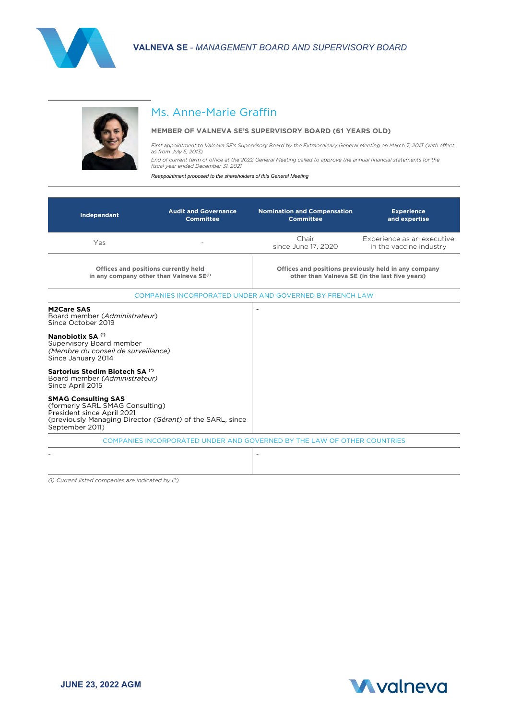



# Ms. Anne-Marie Graffin

## **MEMBER OF VALNEVA SE'S SUPERVISORY BOARD (61 YEARS OLD)**

*First appointment to Valneva SE's Supervisory Board by the Extraordinary General Meeting on March 7, 2013 (with effect as from July 5, 2013)*

*End of current term of office at the 2022 General Meeting called to approve the annual financial statements for the fiscal year ended December 31, 2021*

*Reappointment proposed to the shareholders of this General Meeting*

| Independant                                                                                                                                                                 | <b>Audit and Governance</b><br><b>Committee</b> | <b>Nomination and Compensation</b><br><b>Committee</b>                  | <b>Experience</b><br>and expertise                                                                     |
|-----------------------------------------------------------------------------------------------------------------------------------------------------------------------------|-------------------------------------------------|-------------------------------------------------------------------------|--------------------------------------------------------------------------------------------------------|
| Yes                                                                                                                                                                         |                                                 | Chair<br>since June 17, 2020                                            | Experience as an executive<br>in the vaccine industry                                                  |
| Offices and positions currently held<br>in any company other than Valneva SE <sup>(1)</sup>                                                                                 |                                                 |                                                                         | Offices and positions previously held in any company<br>other than Valneva SE (in the last five vears) |
|                                                                                                                                                                             |                                                 | COMPANIES INCORPORATED UNDER AND GOVERNED BY FRENCH LAW                 |                                                                                                        |
| <b>M2Care SAS</b><br>Board member (Administrateur)<br>Since October 2019                                                                                                    |                                                 |                                                                         |                                                                                                        |
| Nanobiotix SA (*)<br>Supervisory Board member<br>(Membre du conseil de surveillance)<br>Since January 2014                                                                  |                                                 |                                                                         |                                                                                                        |
| Sartorius Stedim Biotech SA (*)<br>Board member (Administrateur)<br>Since April 2015                                                                                        |                                                 |                                                                         |                                                                                                        |
| <b>SMAG Consulting SAS</b><br>(formerly SARL SMAG Consulting)<br>President since April 2021<br>(previously Managing Director (Gérant) of the SARL, since<br>September 2011) |                                                 |                                                                         |                                                                                                        |
|                                                                                                                                                                             |                                                 | COMPANIES INCORPORATED UNDER AND GOVERNED BY THE LAW OF OTHER COUNTRIES |                                                                                                        |
|                                                                                                                                                                             |                                                 |                                                                         |                                                                                                        |

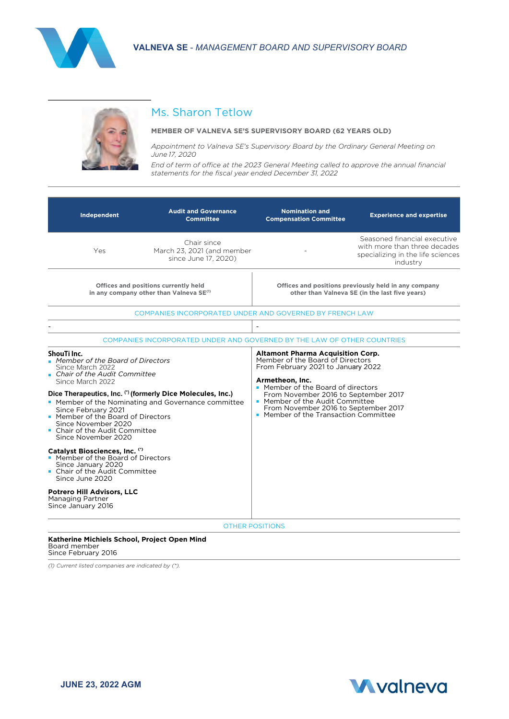



# Ms. Sharon Tetlow

#### **MEMBER OF VALNEVA SE'S SUPERVISORY BOARD (62 YEARS OLD)**

*Appointment to Valneva SE's Supervisory Board by the Ordinary General Meeting on June 17, 2020*

*End of term of office at the 2023 General Meeting called to approve the annual financial statements for the fiscal year ended December 31, 2022*

| Independent                                                                                                                                                                                                                                                                                                                                                                                                                                                                                                                  | <b>Audit and Governance</b><br><b>Committee</b>                                             | <b>Nomination and</b><br><b>Compensation Committee</b>                                                                                                                                                                                                                                                                                  | <b>Experience and expertise</b>                                                                               |
|------------------------------------------------------------------------------------------------------------------------------------------------------------------------------------------------------------------------------------------------------------------------------------------------------------------------------------------------------------------------------------------------------------------------------------------------------------------------------------------------------------------------------|---------------------------------------------------------------------------------------------|-----------------------------------------------------------------------------------------------------------------------------------------------------------------------------------------------------------------------------------------------------------------------------------------------------------------------------------------|---------------------------------------------------------------------------------------------------------------|
| Yes                                                                                                                                                                                                                                                                                                                                                                                                                                                                                                                          | Chair since<br>March 23, 2021 (and member<br>since June 17, 2020)                           |                                                                                                                                                                                                                                                                                                                                         | Seasoned financial executive<br>with more than three decades<br>specializing in the life sciences<br>industry |
|                                                                                                                                                                                                                                                                                                                                                                                                                                                                                                                              | Offices and positions currently held<br>in any company other than Valneya SE <sup>(1)</sup> |                                                                                                                                                                                                                                                                                                                                         | Offices and positions previously held in any company<br>other than Valneva SE (in the last five vears)        |
|                                                                                                                                                                                                                                                                                                                                                                                                                                                                                                                              | COMPANIES INCORPORATED UNDER AND GOVERNED BY FRENCH LAW                                     |                                                                                                                                                                                                                                                                                                                                         |                                                                                                               |
|                                                                                                                                                                                                                                                                                                                                                                                                                                                                                                                              | COMPANIES INCORPORATED UNDER AND GOVERNED BY THE LAW OF OTHER COUNTRIES                     | $\overline{\phantom{a}}$                                                                                                                                                                                                                                                                                                                |                                                                                                               |
| ShouTi Inc.<br>• Member of the Board of Directors<br>Since March 2022<br>Chair of the Audit Committee<br>Since March 2022<br>Dice Therapeutics, Inc. (*) (formerly Dice Molecules, Inc.)<br>• Member of the Nominating and Governance committee<br>Since February 2021<br>• Member of the Board of Directors<br>Since November 2020<br>• Chair of the Audit Committee<br>Since November 2020<br>Catalyst Biosciences, Inc. (*)<br>• Member of the Board of Directors<br>Since January 2020<br>• Chair of the Audit Committee |                                                                                             | <b>Altamont Pharma Acquisition Corp.</b><br>Member of the Board of Directors<br>From February 2021 to January 2022<br>Armetheon, Inc.<br>• Member of the Board of directors<br>From November 2016 to September 2017<br>• Member of the Audit Committee<br>From November 2016 to September 2017<br>• Member of the Transaction Committee |                                                                                                               |
| Since June 2020<br><b>Potrero Hill Advisors, LLC</b><br>Managing Partner<br>Since January 2016                                                                                                                                                                                                                                                                                                                                                                                                                               |                                                                                             | <b>OTHER POSITIONS</b>                                                                                                                                                                                                                                                                                                                  |                                                                                                               |

#### **Katherine Michiels School, Project Open Mind**  Board member

Since February 2016

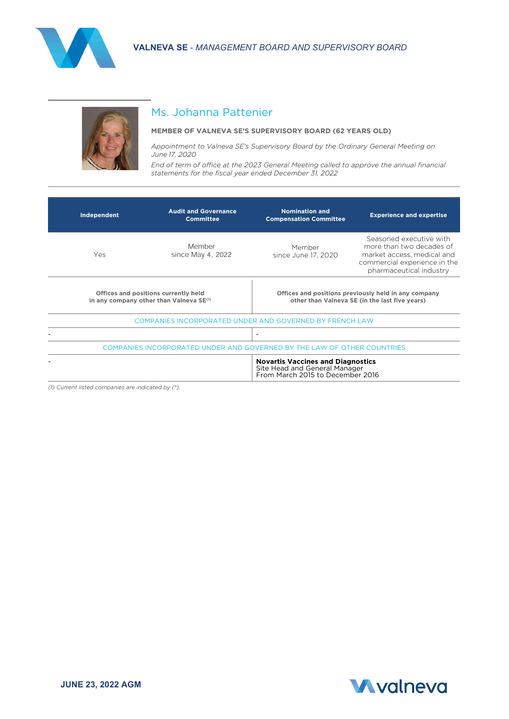



# Ms. Johanna Pattenier

#### **MEMBER OF VALNEVA SE'S SUPERVISORY BOARD (62 YEARS OLD)**

*Appointment to Valneva SE's Supervisory Board by the Ordinary General Meeting on June 17, 2020*

*End of term of office at the 2023 General Meeting called to approve the annual financial statements for the fiscal year ended December 31, 2022*

| Independent | <b>Audit and Governance</b><br><b>Committee</b>                                             | <b>Nomination and</b><br><b>Compensation Committee</b>                                                        | <b>Experience and expertise</b>                                                                                                              |
|-------------|---------------------------------------------------------------------------------------------|---------------------------------------------------------------------------------------------------------------|----------------------------------------------------------------------------------------------------------------------------------------------|
| Yes.        | Member<br>since May 4, 2022                                                                 | Member<br>since June 17, 2020                                                                                 | Seasoned executive with<br>more than two decades of<br>market access, medical and<br>commercial experience in the<br>pharmaceutical industry |
|             | Offices and positions currently held<br>in any company other than Valneva SE <sup>(1)</sup> |                                                                                                               | Offices and positions previously held in any company<br>other than Valneva SE (in the last five years)                                       |
|             | COMPANIES INCORPORATED UNDER AND GOVERNED BY FRENCH LAW                                     |                                                                                                               |                                                                                                                                              |
|             |                                                                                             | $\overline{\phantom{a}}$                                                                                      |                                                                                                                                              |
|             | COMPANIES INCORPORATED UNDER AND GOVERNED BY THE LAW OF OTHER COUNTRIES                     |                                                                                                               |                                                                                                                                              |
|             |                                                                                             | <b>Novartis Vaccines and Diagnostics</b><br>Site Head and General Manager<br>From March 2015 to December 2016 |                                                                                                                                              |

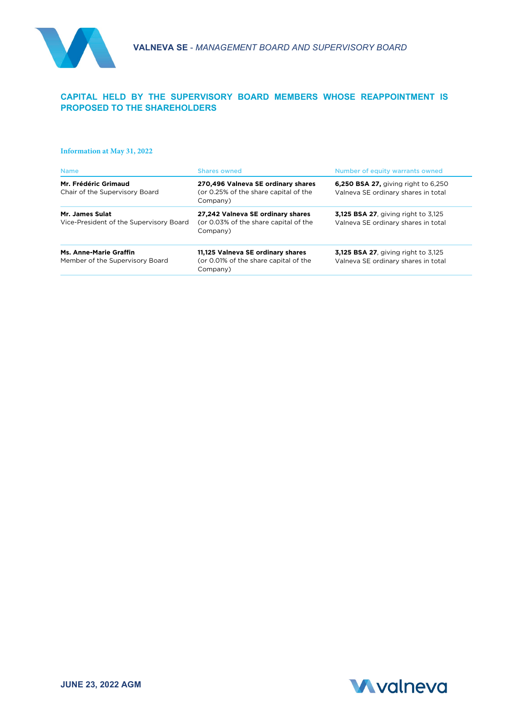

## **CAPITAL HELD BY THE SUPERVISORY BOARD MEMBERS WHOSE REAPPOINTMENT IS PROPOSED TO THE SHAREHOLDERS**

#### **Information at May 31, 2022**

| <b>Shares owned</b>                                                                     | Number of equity warrants owned                                                   |
|-----------------------------------------------------------------------------------------|-----------------------------------------------------------------------------------|
| 270.496 Valneva SE ordinary shares<br>(or 0.25% of the share capital of the<br>Company) | <b>6,250 BSA 27, giving right to 6,250</b><br>Valneva SE ordinary shares in total |
| 27,242 Valneva SE ordinary shares<br>(or 0.03% of the share capital of the<br>Company)  | <b>3,125 BSA 27.</b> giving right to 3,125<br>Valneva SE ordinary shares in total |
| 11,125 Valneva SE ordinary shares<br>(or 0.01% of the share capital of the<br>Company)  | <b>3,125 BSA 27.</b> giving right to 3,125<br>Valneva SE ordinary shares in total |
|                                                                                         |                                                                                   |